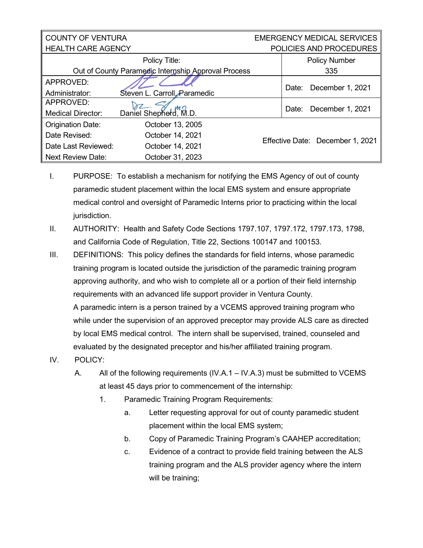| <b>COUNTY OF VENTURA</b>                            |                              | <b>EMERGENCY MEDICAL SERVICES</b> |                           |                         |
|-----------------------------------------------------|------------------------------|-----------------------------------|---------------------------|-------------------------|
| <b>HEALTH CARE AGENCY</b>                           |                              |                                   |                           | POLICIES AND PROCEDURES |
|                                                     | Policy Title:                |                                   |                           | <b>Policy Number</b>    |
| Out of County Paramedic Internship Approval Process |                              |                                   |                           | 335                     |
| APPROVED:                                           |                              |                                   | December 1, 2021<br>Date: |                         |
| Administrator:                                      | Steven L. Carroll, Paramedic |                                   |                           |                         |
| APPROVED:                                           |                              |                                   |                           |                         |
| <b>Medical Director:</b>                            | Daniel Shepherd, M.D.        |                                   | December 1, 2021<br>Date: |                         |
| <b>Origination Date:</b>                            | October 13, 2005             |                                   |                           |                         |
| Date Revised:                                       | October 14, 2021             | Effective Date: December 1, 2021  |                           |                         |
| Date Last Reviewed:                                 | October 14, 2021             |                                   |                           |                         |
| <b>Next Review Date:</b>                            | October 31, 2023             |                                   |                           |                         |

- I. PURPOSE: To establish a mechanism for notifying the EMS Agency of out of county paramedic student placement within the local EMS system and ensure appropriate medical control and oversight of Paramedic Interns prior to practicing within the local jurisdiction.
- II. AUTHORITY: Health and Safety Code Sections 1797.107, 1797.172, 1797.173, 1798, and California Code of Regulation, Title 22, Sections 100147 and 100153.
- III. DEFINITIONS: This policy defines the standards for field interns, whose paramedic training program is located outside the jurisdiction of the paramedic training program approving authority, and who wish to complete all or a portion of their field internship requirements with an advanced life support provider in Ventura County. A paramedic intern is a person trained by a VCEMS approved training program who while under the supervision of an approved preceptor may provide ALS care as directed by local EMS medical control. The intern shall be supervised, trained, counseled and evaluated by the designated preceptor and his/her affiliated training program.
- IV. POLICY:
	- A. All of the following requirements (IV.A.1 IV.A.3) must be submitted to VCEMS at least 45 days prior to commencement of the internship:
		- 1. Paramedic Training Program Requirements:
			- a. Letter requesting approval for out of county paramedic student placement within the local EMS system;
			- b. Copy of Paramedic Training Program's CAAHEP accreditation;
			- c. Evidence of a contract to provide field training between the ALS training program and the ALS provider agency where the intern will be training;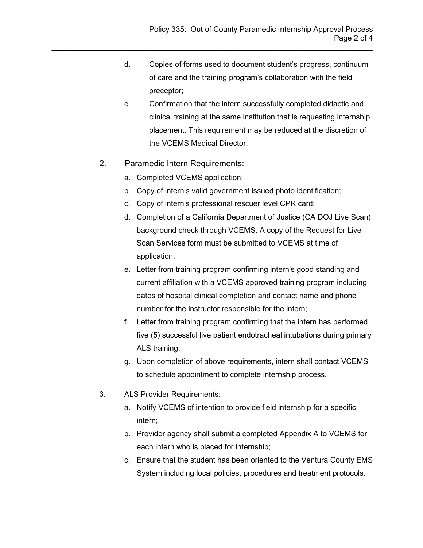- d. Copies of forms used to document student's progress, continuum of care and the training program's collaboration with the field preceptor;
- e. Confirmation that the intern successfully completed didactic and clinical training at the same institution that is requesting internship placement. This requirement may be reduced at the discretion of the VCEMS Medical Director.
- 2. Paramedic Intern Requirements:
	- a. Completed VCEMS application;
	- b. Copy of intern's valid government issued photo identification;
	- c. Copy of intern's professional rescuer level CPR card;

\_\_\_\_\_\_\_\_\_\_\_\_\_\_\_\_\_\_\_\_\_\_\_\_\_\_\_\_\_\_\_\_\_\_\_\_\_\_\_\_\_\_\_\_\_\_\_\_\_\_\_\_\_\_\_\_\_\_\_\_\_\_\_\_\_\_\_\_\_\_\_\_\_\_\_\_

- d. Completion of a California Department of Justice (CA DOJ Live Scan) background check through VCEMS. A copy of the Request for Live Scan Services form must be submitted to VCEMS at time of application;
- e. Letter from training program confirming intern's good standing and current affiliation with a VCEMS approved training program including dates of hospital clinical completion and contact name and phone number for the instructor responsible for the intern;
- f. Letter from training program confirming that the intern has performed five (5) successful live patient endotracheal intubations during primary ALS training;
- g. Upon completion of above requirements, intern shall contact VCEMS to schedule appointment to complete internship process.
- 3. ALS Provider Requirements:
	- a. Notify VCEMS of intention to provide field internship for a specific intern;
	- b. Provider agency shall submit a completed Appendix A to VCEMS for each intern who is placed for internship;
	- c. Ensure that the student has been oriented to the Ventura County EMS System including local policies, procedures and treatment protocols.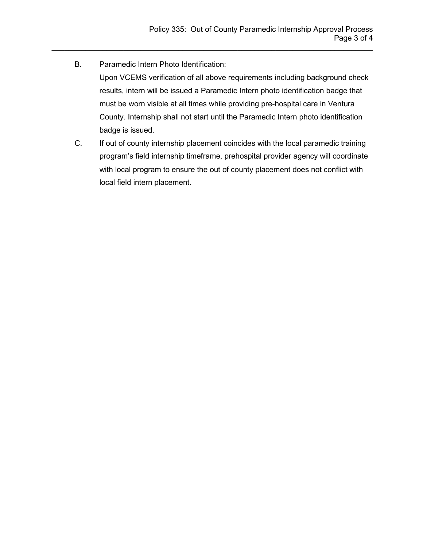B. Paramedic Intern Photo Identification:

Upon VCEMS verification of all above requirements including background check results, intern will be issued a Paramedic Intern photo identification badge that must be worn visible at all times while providing pre-hospital care in Ventura County. Internship shall not start until the Paramedic Intern photo identification badge is issued.

\_\_\_\_\_\_\_\_\_\_\_\_\_\_\_\_\_\_\_\_\_\_\_\_\_\_\_\_\_\_\_\_\_\_\_\_\_\_\_\_\_\_\_\_\_\_\_\_\_\_\_\_\_\_\_\_\_\_\_\_\_\_\_\_\_\_\_\_\_\_\_\_\_\_\_\_

C. If out of county internship placement coincides with the local paramedic training program's field internship timeframe, prehospital provider agency will coordinate with local program to ensure the out of county placement does not conflict with local field intern placement.